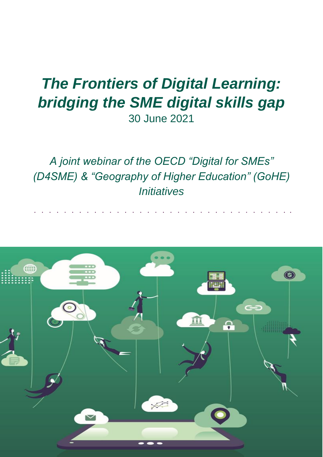# *The Frontiers of Digital Learning: bridging the SME digital skills gap* 30 June 2021

*A joint webinar of the OECD "Digital for SMEs" (D4SME) & "Geography of Higher Education" (GoHE) Initiatives*

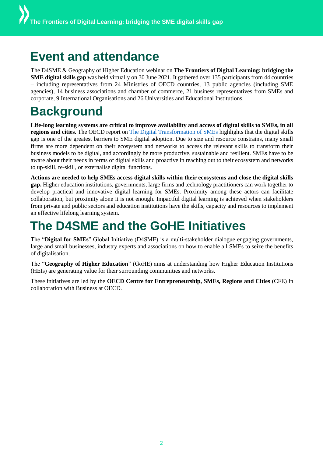### **Event and attendance**

The D4SME & Geography of Higher Education webinar on **The Frontiers of Digital Learning: bridging the SME digital skills gap** was held virtually on 30 June 2021. It gathered over 135 participants from 44 countries – including representatives from 24 Ministries of OECD countries, 13 public agencies (including SME agencies), 14 business associations and chamber of commerce, 21 business representatives from SMEs and corporate, 9 International Organisations and 26 Universities and Educational Institutions.

## **Background**

**Life-long learning systems are critical to improve availability and access of digital skills to SMEs, in all regions and cities.** The OECD report on [The Digital Transformation of SMEs](https://eur02.safelinks.protection.outlook.com/?url=https%3A%2F%2Fwww.oecd-ilibrary.org%2Findustry-and-services%2Fthe-digital-transformation-of-smes_bdb9256a-en&data=04%7C01%7CMarco.BIANCHINI%40oecd.org%7Cf1a6153181a14bcd4ecf08d93bc00dc2%7Cac41c7d41f61460db0f4fc925a2b471c%7C0%7C1%7C637606518325414985%7CUnknown%7CTWFpbGZsb3d8eyJWIjoiMC4wLjAwMDAiLCJQIjoiV2luMzIiLCJBTiI6Ik1haWwiLCJXVCI6Mn0%3D%7C2000&sdata=aHQQeaUOyWMxkJLeDXfS2bHiEiRLzusUx6GYM5Xtx4Y%3D&reserved=0) highlights that the digital skills gap is one of the greatest barriers to SME digital adoption. Due to size and resource constrains, many small firms are more dependent on their ecosystem and networks to access the relevant skills to transform their business models to be digital, and accordingly be more productive, sustainable and resilient. SMEs have to be aware about their needs in terms of digital skills and proactive in reaching out to their ecosystem and networks to up-skill, re-skill, or externalise digital functions.

**Actions are needed to help SMEs access digital skills within their ecosystems and close the digital skills gap.** Higher education institutions, governments, large firms and technology practitioners can work together to develop practical and innovative digital learning for SMEs. Proximity among these actors can facilitate collaboration, but proximity alone it is not enough. Impactful digital learning is achieved when stakeholders from private and public sectors and education institutions have the skills, capacity and resources to implement an effective lifelong learning system.

### **The D4SME and the GoHE Initiatives**

The "**Digital for SMEs**" Global Initiative (D4SME) is a multi-stakeholder dialogue engaging governments, large and small businesses, industry experts and associations on how to enable all SMEs to seize the benefits of digitalisation.

The "**Geography of Higher Education**" (GoHE) aims at understanding how Higher Education Institutions (HEIs) are generating value for their surrounding communities and networks.

These initiatives are led by the **OECD Centre for Entrepreneurship, SMEs, Regions and Cities** (CFE) in collaboration with Business at OECD.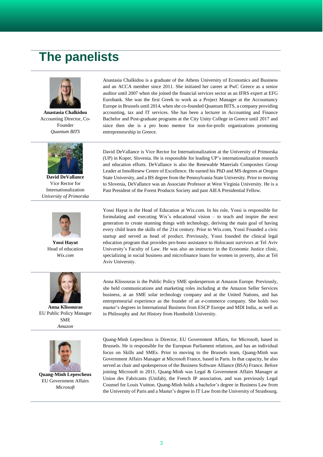### **The panelists**



**Anastasia Chalkidou** Accounting Director, Co-Founder *Quantum BITS*



**David DeVallance** Vice Rector for Internationalization *University of Primorska*



**Yossi Hayut** Head of education *Wix.com*



**Anna Klissouras** EU Public Policy Manager SME *Amazon*



**Quang-Minh Lepescheux** EU Government Affairs *Microsoft*

Anastasia Chalkidou is a graduate of the Athens University of Economics and Business and an ACCA member since 2011. She initiated her career at PwC Greece as a senior auditor until 2007 when she joined the financial services sector as an IFRS expert at EFG Eurobank. She was the first Greek to work as a Project Manager at the Accountancy Europe in Brussels until 2014, when she co-founded Quantum BITS, a company providing accounting, tax and IT services. She has been a lecturer in Accounting and Finance Bachelor and Post-graduate programs at the City Unity College in Greece until 2017 and since then she is a pro bono mentor for non-for-profit organizations promoting entrepreneurship in Greece.

David DeVallance is Vice Rector for Internationalization at the University of Primorska (UP) in Koper, Slovenia. He is responsible for leading UP's internationalization research and education efforts. DeVallance is also the Renewable Materials Composites Group Leader at InnoRenew Centre of Excellence. He earned his PhD and MS degrees at Oregon State University, and a BS degree from the Pennsylvania State University. Prior to moving to Slovenia, DeVallance was an Associate Professor at West Virginia University. He is a Past President of the Forest Products Society and past AIEA Presidential Fellow.

Yossi Hayut is the Head of Education at Wix.com. In his role, Yossi is responsible for formulating and executing Wix's educational vision – to teach and inspire the next generation to create stunning things with technology, deriving the main goal of having every child learn the skills of the 21st century. Prior to Wix.com, Yossi Founded a civic startup and served as head of product. Previously, Yossi founded the clinical legal education program that provides pro-bono assistance to Holocaust survivors at Tel Aviv University's Faculty of Law. He was also an instructor in the Economic Justice clinic, specializing in social business and microfinance loans for women in poverty, also at Tel Aviv University.

Anna Klissouras is the Public Policy SME spokesperson at Amazon Europe. Previously, she held communications and marketing roles including at the Amazon Seller Services business, at an SME solar technology company and at the United Nations, and has entrepreneurial experience as the founder of an e-commerce company. She holds two master's degrees in International Business from ESCP Europe and MDI India, as well as in Philosophy and Art History from Humboldt University.

Quang-Minh Lepescheux is Director, EU Government Affairs, for Microsoft, based in Brussels. He is responsible for the European Parliament relations, and has an individual focus on Skills and SMEs. Prior to moving to the Brussels team, Quang-Minh was Government Affairs Manager at Microsoft France, based in Paris. In that capacity, he also served as chair and spokesperson of the Business Software Alliance (BSA) France. Before joining Microsoft in 2011, Quang-Minh was Legal & Government Affairs Manager at Union des Fabricants (Unifab), the French IP association, and was previously Legal Counsel for Louis Vuitton. Quang-Minh holds a bachelor's degree in Business Law from the University of Paris and a Master's degree in IT Law from the University of Strasbourg.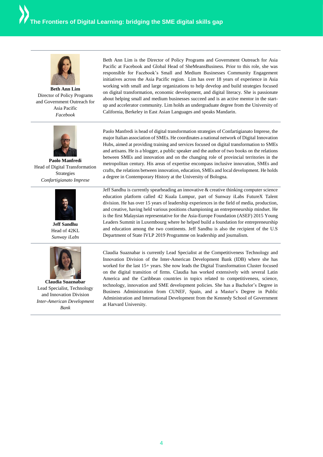

**Beth Ann Lim** Director of Policy Programs and Government Outreach for Asia Pacific *Facebook*



**Paolo Manfredi** Head of Digital Transformation Strategies *Confartigianato Imprese*



**Jeff Sandhu** Head of 42KL *Sunway iLabs*



**Claudia Suaznabar** Lead Specialist, Technology and Innovation Division *Inter-American Development Bank*

Beth Ann Lim is the Director of Policy Programs and Government Outreach for Asia Pacific at Facebook and Global Head of SheMeansBusiness. Prior to this role, she was responsible for Facebook's Small and Medium Businesses Community Engagement initiatives across the Asia Pacific region. Lim has over 18 years of experience in Asia working with small and large organizations to help develop and build strategies focused on digital transformation, economic development, and digital literacy. She is passionate about helping small and medium businesses succeed and is an active mentor in the startup and accelerator community. Lim holds an undergraduate degree from the University of California, Berkeley in East Asian Languages and speaks Mandarin.

Paolo Manfredi is head of digital transformation strategies of Confartigianato Imprese, the major Italian association of SMEs. He coordinates a national network of Digital Innovation Hubs, aimed at providing training and services focused on digital transformation to SMEs and artisans. He is a blogger, a public speaker and the author of two books on the relations between SMEs and innovation and on the changing role of provincial territories in the metropolitan century. His areas of expertise encompass inclusive innovation, SMEs and crafts, the relations between innovation, education, SMEs and local development. He holds a degree in Contemporary History at the University of Bologna.

Jeff Sandhu is currently spearheading an innovative & creative thinking computer science education platform called 42 Kuala Lumpur, part of Sunway iLabs FutureX Talent division. He has over 15 years of leadership experiences in the field of media, production, and creative, having held various positions championing an entrepreneurship mindset. He is the first Malaysian representative for the Asia-Europe Foundation (ASEF) 2015 Young Leaders Summit in Luxembourg where he helped build a foundation for entrepreneurship and education among the two continents. Jeff Sandhu is also the recipient of the U.S Department of State IVLP 2019 Programme on leadership and journalism.

Claudia Suaznabar is currently Lead Specialist at the Competitiveness Technology and Innovation Division of the Inter-American Development Bank (IDB) where she has worked for the last 15+ years. She now leads the Digital Transformation Cluster focused on the digital transition of firms. Claudia has worked extensively with several Latin America and the Caribbean countries in topics related to competitiveness, science, technology, innovation and SME development policies. She has a Bachelor's Degree in Business Administration from CUNEF, Spain, and a Master's Degree in Public Administration and International Development from the Kennedy School of Government at Harvard University.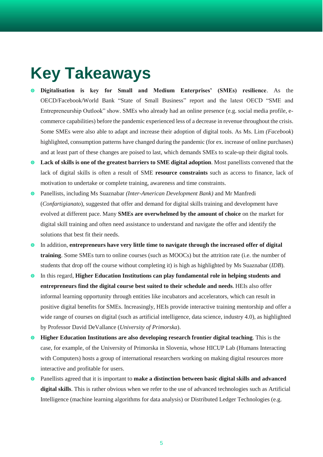# **Key Takeaways**

- **Digitalisation is key for Small and Medium Enterprises' (SMEs) resilience**. As the OECD/Facebook/World Bank "State of Small Business" report and the latest OECD "SME and Entrepreneurship Outlook" show. SMEs who already had an online presence (e.g. social media profile, ecommerce capabilities) before the pandemic experienced less of a decrease in revenue throughout the crisis. Some SMEs were also able to adapt and increase their adoption of digital tools. As Ms. Lim *(Facebook*) highlighted, consumption patterns have changed during the pandemic (for ex. increase of online purchases) and at least part of these changes are poised to last, which demands SMEs to scale-up their digital tools.
- **Lack of skills is one of the greatest barriers to SME digital adoption**. Most panellists convened that the lack of digital skills is often a result of SME **resource constraints** such as access to finance, lack of motivation to undertake or complete training, awareness and time constraints.
- Panellists, including Ms Suaznabar *(Inter-American Development Bank)* and Mr Manfredi (*Confartigianato*), suggested that offer and demand for digital skills training and development have evolved at different pace. Many **SMEs are overwhelmed by the amount of choice** on the market for digital skill training and often need assistance to understand and navigate the offer and identify the solutions that best fit their needs.
- In addition, **entrepreneurs have very little time to navigate through the increased offer of digital training**. Some SMEs turn to online courses (such as MOOCs) but the attrition rate (i.e. the number of students that drop off the course without completing it) is high as highlighted by Ms Suaznabar (*IDB*).
- In this regard, **Higher Education Institutions can play fundamental role in helping students and entrepreneurs find the digital course best suited to their schedule and needs**. HEIs also offer informal learning opportunity through entities like incubators and accelerators, which can result in positive digital benefits for SMEs. Increasingly, HEIs provide interactive training mentorship and offer a wide range of courses on digital (such as artificial intelligence, data science, industry 4.0), as highlighted by Professor David DeVallance (*University of Primorska*).
- **Higher Education Institutions are also developing research frontier digital teaching**. This is the case, for example, of the University of Primorska in Slovenia, whose HICUP Lab (Humans Interacting with Computers) hosts a group of international researchers working on making digital resources more interactive and profitable for users.
- Panellists agreed that it is important to **make a distinction between basic digital skills and advanced digital skills**. This is rather obvious when we refer to the use of advanced technologies such as Artificial Intelligence (machine learning algorithms for data analysis) or Distributed Ledger Technologies (e.g.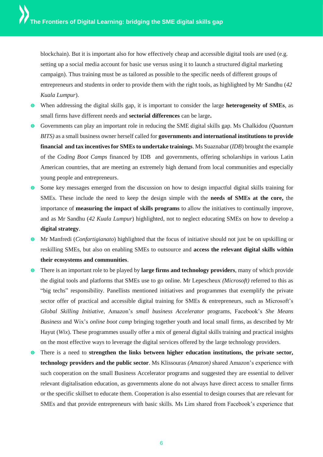blockchain). But it is important also for how effectively cheap and accessible digital tools are used (e.g. setting up a social media account for basic use versus using it to launch a structured digital marketing campaign). Thus training must be as tailored as possible to the specific needs of different groups of entrepreneurs and students in order to provide them with the right tools, as highlighted by Mr Sandhu (*42 Kuala Lumpur*).

- When addressing the digital skills gap, it is important to consider the large **heterogeneity of SMEs**, as small firms have different needs and **sectorial differences** can be large**.**
- Governments can play an important role in reducing the SME digital skills gap. Ms Chalkidou *(Quantum BITS)* as a small business owner herself called for **governments and international institutions to provide financial and tax incentives for SMEs to undertake trainings**. Ms Suaznabar (*IDB*) brought the example of the *Coding Boot Camps* financed by IDB and governments, offering scholarships in various Latin American countries, that are meeting an extremely high demand from local communities and especially young people and entrepreneurs.
- Some key messages emerged from the discussion on how to design impactful digital skills training for SMEs. These include the need to keep the design simple with the **needs of SMEs at the core,** the importance of **measuring the impact of skills programs** to allow the initiatives to continually improve, and as Mr Sandhu (*42 Kuala Lumpur*) highlighted, not to neglect educating SMEs on how to develop a **digital strategy**.
- Mr Manfredi (*Confartigianato*) highlighted that the focus of initiative should not just be on upskilling or reskilling SMEs, but also on enabling SMEs to outsource and **access the relevant digital skills within their ecosystems and communities**.
- There is an important role to be played by **large firms and technology providers**, many of which provide the digital tools and platforms that SMEs use to go online. Mr Lepescheux *(Microsoft)* referred to this as "big techs" responsibility. Panellists mentioned initiatives and programmes that exemplify the private sector offer of practical and accessible digital training for SMEs & entrepreneurs, such as Microsoft's *Global Skilling Initiative*, Amazon's *small business Accelerator* programs, Facebook's *She Means Business* and Wix's *online boot camp* bringing together youth and local small firms, as described by Mr Hayut (*Wix*). These programmes usually offer a mix of general digital skills training and practical insights on the most effective ways to leverage the digital services offered by the large technology providers.
- There is a need to **strengthen the links between higher education institutions, the private sector, technology providers and the public sector**. Ms Klissouras *(Amazon)* shared Amazon's experience with such cooperation on the small Business Accelerator programs and suggested they are essential to deliver relevant digitalisation education, as governments alone do not always have direct access to smaller firms or the specific skillset to educate them. Cooperation is also essential to design courses that are relevant for SMEs and that provide entrepreneurs with basic skills. Ms Lim shared from Facebook's experience that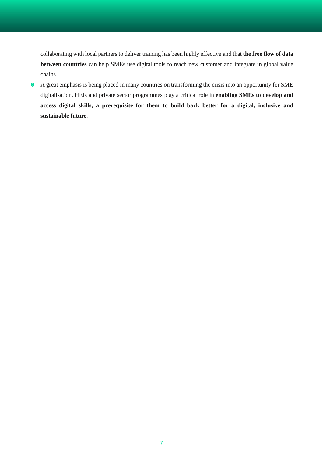collaborating with local partners to deliver training has been highly effective and that **the free flow of data between countries** can help SMEs use digital tools to reach new customer and integrate in global value chains.

 A great emphasis is being placed in many countries on transforming the crisis into an opportunity for SME digitalisation. HEIs and private sector programmes play a critical role in **enabling SMEs to develop and access digital skills, a prerequisite for them to build back better for a digital, inclusive and sustainable future**.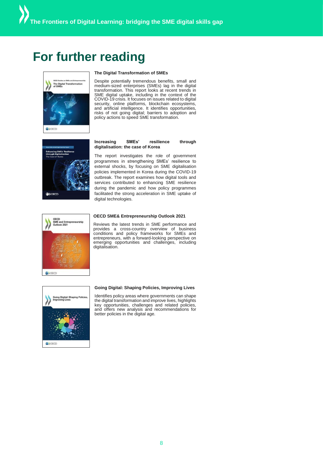### **For further reading**



#### **The Digital Transformation of SMEs**

Despite potentially tremendous benefits, small and medium-sized enterprises (SMEs) lag in the digital transformation. This report looks at recent trends in SME digital uptake, including in the context of the COVID-19 crisis. It focuses on issues related to digital security, online platforms, blockchain ecosystems, and artificial intelligence. It identifies opportunities, risks of not going digital; barriers to adoption and policy actions to speed SME transformation.



#### **Increasing SMEs' resilience through digitalisation: the case of Korea**

The report investigates the role of government programmes in strengthening SMEs' resilience to external shocks, by focusing on SME digitalisation policies implemented in Korea during the COVID-19 outbreak. The report examines how digital tools and services contributed to enhancing SME resilience during the pandemic and how policy programmes facilitated the strong acceleration in SME uptake of digital technologies.



#### **OECD SME& Entrepreneurship Outlook 2021**

Reviews the latest trends in SME performance and provides a cross-country overview of business conditions and policy frameworks for SMEs and entrepreneurs, with a forward-looking perspective on emerging opportunities and challenges, including digitalisation.

GOOSCO

#### **Going Digital: Shaping Policies, Improving Lives**

Identifies policy areas where governments can shape the digital transformation and improve lives, highlights key opportunities, challenges and related policies, and offers new analysis and recommendations for better policies in the digital age.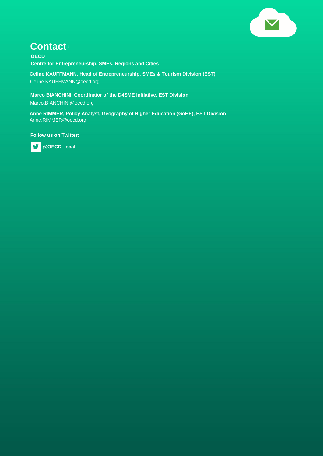

#### **Contact:**

**OECD Centre for Entrepreneurship, SMEs, Regions and Cities**

**Celine KAUFFMANN, Head of Entrepreneurship, SMEs & Tourism Division (EST)** Celine.KAUFFMANN@oecd.org

**Marco BIANCHINI, Coordinator of the D4SME Initiative, EST Division** Marco.BIANCHINI@oecd.org

**Anne RIMMER, Policy Analyst, Geography of Higher Education (GoHE), EST Division** Anne.RIMMER@oecd.org

**Follow us on Twitter:** 



 **@OECD\_local**